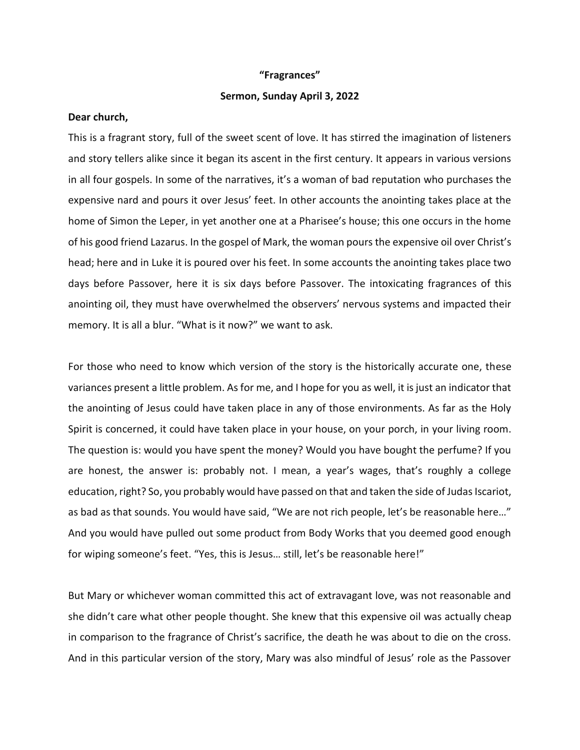## **"Fragrances"**

## **Sermon, Sunday April 3, 2022**

## **Dear church,**

This is a fragrant story, full of the sweet scent of love. It has stirred the imagination of listeners and story tellers alike since it began its ascent in the first century. It appears in various versions in all four gospels. In some of the narratives, it's a woman of bad reputation who purchases the expensive nard and pours it over Jesus' feet. In other accounts the anointing takes place at the home of Simon the Leper, in yet another one at a Pharisee's house; this one occurs in the home of his good friend Lazarus. In the gospel of Mark, the woman pours the expensive oil over Christ's head; here and in Luke it is poured over his feet. In some accounts the anointing takes place two days before Passover, here it is six days before Passover. The intoxicating fragrances of this anointing oil, they must have overwhelmed the observers' nervous systems and impacted their memory. It is all a blur. "What is it now?" we want to ask.

For those who need to know which version of the story is the historically accurate one, these variances present a little problem. As for me, and I hope for you as well, it is just an indicator that the anointing of Jesus could have taken place in any of those environments. As far as the Holy Spirit is concerned, it could have taken place in your house, on your porch, in your living room. The question is: would you have spent the money? Would you have bought the perfume? If you are honest, the answer is: probably not. I mean, a year's wages, that's roughly a college education, right? So, you probably would have passed on that and taken the side of Judas Iscariot, as bad as that sounds. You would have said, "We are not rich people, let's be reasonable here…" And you would have pulled out some product from Body Works that you deemed good enough for wiping someone's feet. "Yes, this is Jesus… still, let's be reasonable here!"

But Mary or whichever woman committed this act of extravagant love, was not reasonable and she didn't care what other people thought. She knew that this expensive oil was actually cheap in comparison to the fragrance of Christ's sacrifice, the death he was about to die on the cross. And in this particular version of the story, Mary was also mindful of Jesus' role as the Passover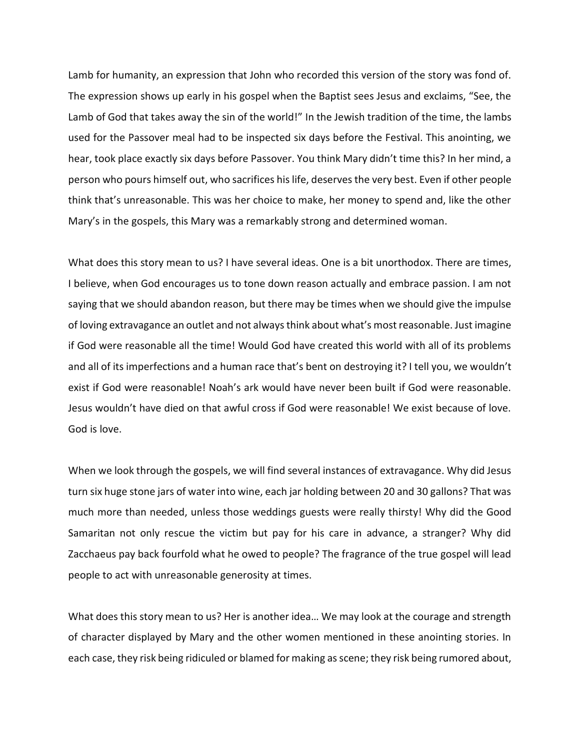Lamb for humanity, an expression that John who recorded this version of the story was fond of. The expression shows up early in his gospel when the Baptist sees Jesus and exclaims, "See, the Lamb of God that takes away the sin of the world!" In the Jewish tradition of the time, the lambs used for the Passover meal had to be inspected six days before the Festival. This anointing, we hear, took place exactly six days before Passover. You think Mary didn't time this? In her mind, a person who pours himself out, who sacrifices his life, deserves the very best. Even if other people think that's unreasonable. This was her choice to make, her money to spend and, like the other Mary's in the gospels, this Mary was a remarkably strong and determined woman.

What does this story mean to us? I have several ideas. One is a bit unorthodox. There are times, I believe, when God encourages us to tone down reason actually and embrace passion. I am not saying that we should abandon reason, but there may be times when we should give the impulse of loving extravagance an outlet and not always think about what's most reasonable. Just imagine if God were reasonable all the time! Would God have created this world with all of its problems and all of its imperfections and a human race that's bent on destroying it? I tell you, we wouldn't exist if God were reasonable! Noah's ark would have never been built if God were reasonable. Jesus wouldn't have died on that awful cross if God were reasonable! We exist because of love. God is love.

When we look through the gospels, we will find several instances of extravagance. Why did Jesus turn six huge stone jars of water into wine, each jar holding between 20 and 30 gallons? That was much more than needed, unless those weddings guests were really thirsty! Why did the Good Samaritan not only rescue the victim but pay for his care in advance, a stranger? Why did Zacchaeus pay back fourfold what he owed to people? The fragrance of the true gospel will lead people to act with unreasonable generosity at times.

What does this story mean to us? Her is another idea… We may look at the courage and strength of character displayed by Mary and the other women mentioned in these anointing stories. In each case, they risk being ridiculed or blamed for making as scene; they risk being rumored about,